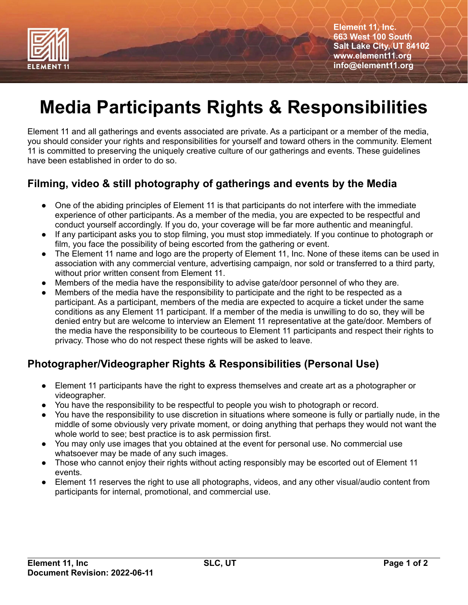

**Element 11, Inc. 663 West 100 South Salt Lake City, UT 84102 www.element11.org info@element11.org**

# **Media Participants Rights & Responsibilities**

Element 11 and all gatherings and events associated are private. As a participant or a member of the media, you should consider your rights and responsibilities for yourself and toward others in the community. Element 11 is committed to preserving the uniquely creative culture of our gatherings and events. These guidelines have been established in order to do so.

## **Filming, video & still photography of gatherings and events by the Media**

- One of the abiding principles of Element 11 is that participants do not interfere with the immediate experience of other participants. As a member of the media, you are expected to be respectful and conduct yourself accordingly. If you do, your coverage will be far more authentic and meaningful.
- If any participant asks you to stop filming, you must stop immediately. If you continue to photograph or film, you face the possibility of being escorted from the gathering or event.
- The Element 11 name and logo are the property of Element 11, Inc. None of these items can be used in association with any commercial venture, advertising campaign, nor sold or transferred to a third party, without prior written consent from Element 11.
- Members of the media have the responsibility to advise gate/door personnel of who they are.
- Members of the media have the responsibility to participate and the right to be respected as a participant. As a participant, members of the media are expected to acquire a ticket under the same conditions as any Element 11 participant. If a member of the media is unwilling to do so, they will be denied entry but are welcome to interview an Element 11 representative at the gate/door. Members of the media have the responsibility to be courteous to Element 11 participants and respect their rights to privacy. Those who do not respect these rights will be asked to leave.

## **Photographer/Videographer Rights & Responsibilities (Personal Use)**

- Element 11 participants have the right to express themselves and create art as a photographer or videographer.
- You have the responsibility to be respectful to people you wish to photograph or record.
- You have the responsibility to use discretion in situations where someone is fully or partially nude, in the middle of some obviously very private moment, or doing anything that perhaps they would not want the whole world to see; best practice is to ask permission first.
- You may only use images that you obtained at the event for personal use. No commercial use whatsoever may be made of any such images.
- Those who cannot enjoy their rights without acting responsibly may be escorted out of Element 11 events.
- Element 11 reserves the right to use all photographs, videos, and any other visual/audio content from participants for internal, promotional, and commercial use.